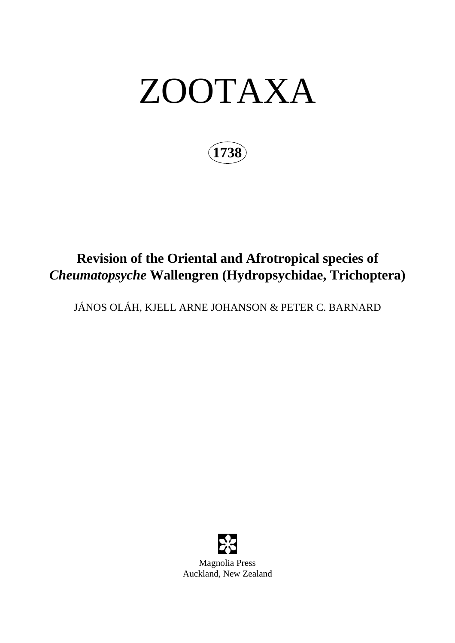# ZOOTAXA

**1738**

## **Revision of the Oriental and Afrotropical species of**  *Cheumatopsyche* **Wallengren (Hydropsychidae, Trichoptera)**

JÁNOS OLÁH, KJELL ARNE JOHANSON & PETER C. BARNARD

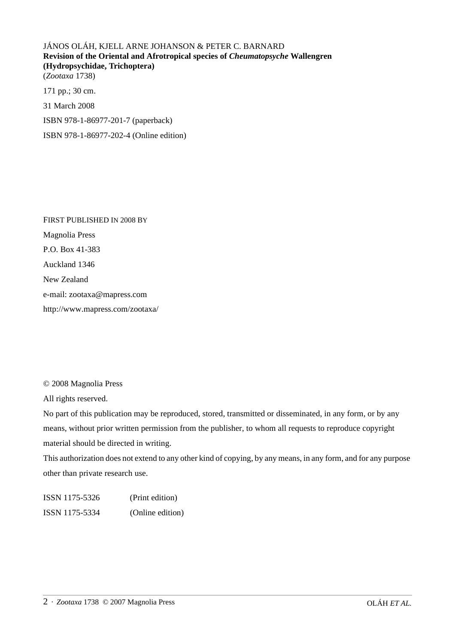JÁNOS OLÁH, KJELL ARNE JOHANSON & PETER C. BARNARD **Revision of the Oriental and Afrotropical species of** *Cheumatopsyche* **Wallengren (Hydropsychidae, Trichoptera)** (*Zootaxa* 1738)

171 pp.; 30 cm. 31 March 2008 ISBN 978-1-86977-201-7 (paperback)

ISBN 978-1-86977-202-4 (Online edition)

FIRST PUBLISHED IN 2008 BY Magnolia Press P.O. Box 41-383 Auckland 1346 New Zealand e-mail: zootaxa@mapress.com http://www.mapress.com/zootaxa/

© 2008 Magnolia Press

All rights reserved.

No part of this publication may be reproduced, stored, transmitted or disseminated, in any form, or by any means, without prior written permission from the publisher, to whom all requests to reproduce copyright material should be directed in writing.

This authorization does not extend to any other kind of copying, by any means, in any form, and for any purpose other than private research use.

ISSN 1175-5326 (Print edition) ISSN 1175-5334 (Online edition)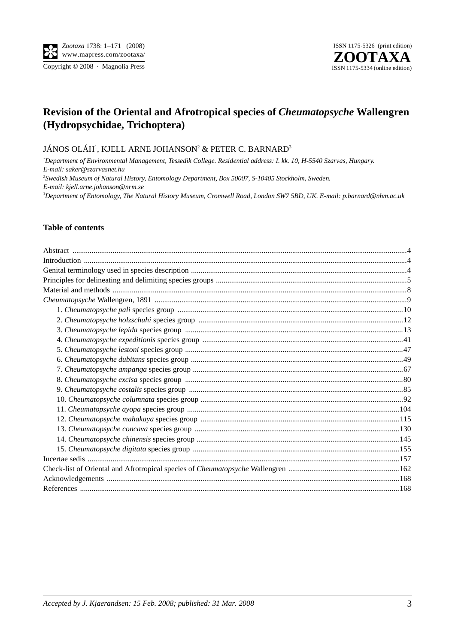Copyright  $\odot$  2008 · Magnolia Press



### **Revision of the Oriental and Afrotropical species of** *Cheumatopsyche* **Wallengren (Hydropsychidae, Trichoptera)**

#### JÁNOS OLÁH', KJELL ARNE JOHANSON<del>'</del> & PETER C. BARNARD<sup>3</sup>

*1 Department of Environmental Management, Tessedik College. Residential address: I. kk. 10, H-5540 Szarvas, Hungary. E-mail: saker@szarvasnet.hu 2 Swedish Museum of Natural History, Entomology Department, Box 50007, S-10405 Stockholm, Sweden. E-mail: kjell.arne.johanson@nrm.se 3 Department of Entomology, The Natural History Museum, Cromwell Road, London SW7 5BD, UK. E-mail: p.barnard@nhm.ac.uk*

#### **Table of contents**